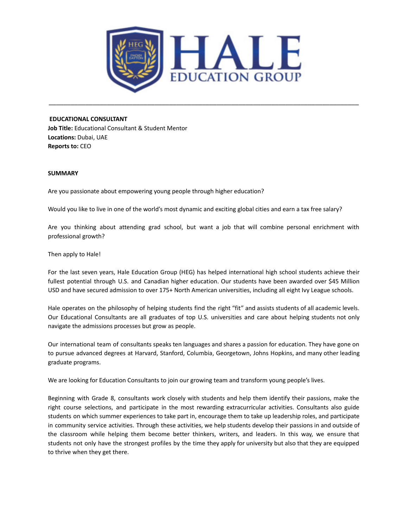

\_\_\_\_\_\_\_\_\_\_\_\_\_\_\_\_\_\_\_\_\_\_\_\_\_\_\_\_\_\_\_\_\_\_\_\_\_\_\_\_\_\_\_\_\_\_\_\_\_\_\_\_\_\_\_\_\_\_\_\_\_\_\_\_\_\_\_\_\_\_\_\_\_\_\_\_\_\_\_\_\_\_\_\_\_

### **EDUCATIONAL CONSULTANT**

**Job Title:** Educational Consultant & Student Mentor **Locations:** Dubai, UAE **Reports to:** CEO

## **SUMMARY**

Are you passionate about empowering young people through higher education?

Would you like to live in one of the world's most dynamic and exciting global cities and earn a tax free salary?

Are you thinking about attending grad school, but want a job that will combine personal enrichment with professional growth?

Then apply to Hale!

For the last seven years, Hale Education Group (HEG) has helped international high school students achieve their fullest potential through U.S. and Canadian higher education. Our students have been awarded over \$45 Million USD and have secured admission to over 175+ North American universities, including all eight Ivy League schools.

Hale operates on the philosophy of helping students find the right "fit" and assists students of all academic levels. Our Educational Consultants are all graduates of top U.S. universities and care about helping students not only navigate the admissions processes but grow as people.

Our international team of consultants speaks ten languages and shares a passion for education. They have gone on to pursue advanced degrees at Harvard, Stanford, Columbia, Georgetown, Johns Hopkins, and many other leading graduate programs.

We are looking for Education Consultants to join our growing team and transform young people's lives.

Beginning with Grade 8, consultants work closely with students and help them identify their passions, make the right course selections, and participate in the most rewarding extracurricular activities. Consultants also guide students on which summer experiences to take part in, encourage them to take up leadership roles, and participate in community service activities. Through these activities, we help students develop their passions in and outside of the classroom while helping them become better thinkers, writers, and leaders. In this way, we ensure that students not only have the strongest profiles by the time they apply for university but also that they are equipped to thrive when they get there.